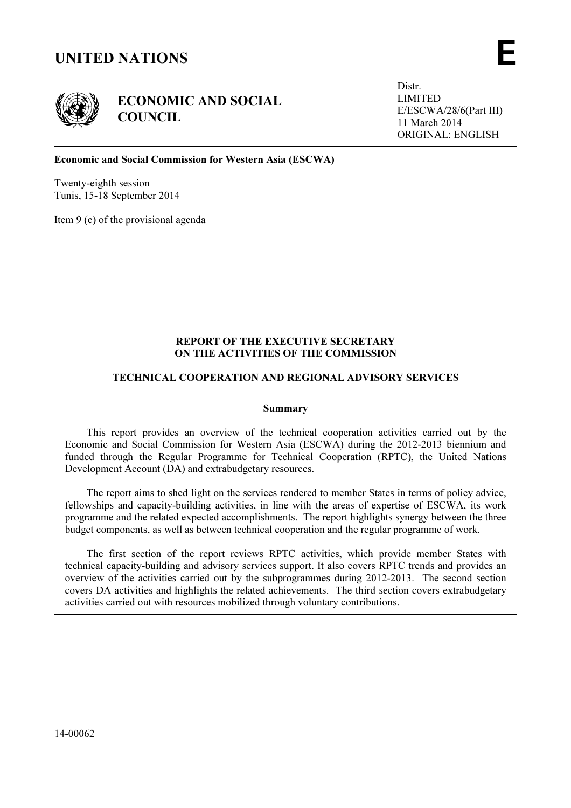

ECONOMIC AND SOCIAL **COUNCIL** 

Distr. LIMITED E/ESCWA/28/6(Part III) 11 March 2014 ORIGINAL: ENGLISH

## Economic and Social Commission for Western Asia (ESCWA)

Twenty-eighth session Tunis, 15-18 September 2014

Item 9 (c) of the provisional agenda

# REPORT OF THE EXECUTIVE SECRETARY ON THE ACTIVITIES OF THE COMMISSION

## TECHNICAL COOPERATION AND REGIONAL ADVISORY SERVICES

### Summary

 This report provides an overview of the technical cooperation activities carried out by the Economic and Social Commission for Western Asia (ESCWA) during the 2012-2013 biennium and funded through the Regular Programme for Technical Cooperation (RPTC), the United Nations Development Account (DA) and extrabudgetary resources.

 The report aims to shed light on the services rendered to member States in terms of policy advice, fellowships and capacity-building activities, in line with the areas of expertise of ESCWA, its work programme and the related expected accomplishments. The report highlights synergy between the three budget components, as well as between technical cooperation and the regular programme of work.

 The first section of the report reviews RPTC activities, which provide member States with technical capacity-building and advisory services support. It also covers RPTC trends and provides an overview of the activities carried out by the subprogrammes during 2012-2013. The second section covers DA activities and highlights the related achievements. The third section covers extrabudgetary activities carried out with resources mobilized through voluntary contributions.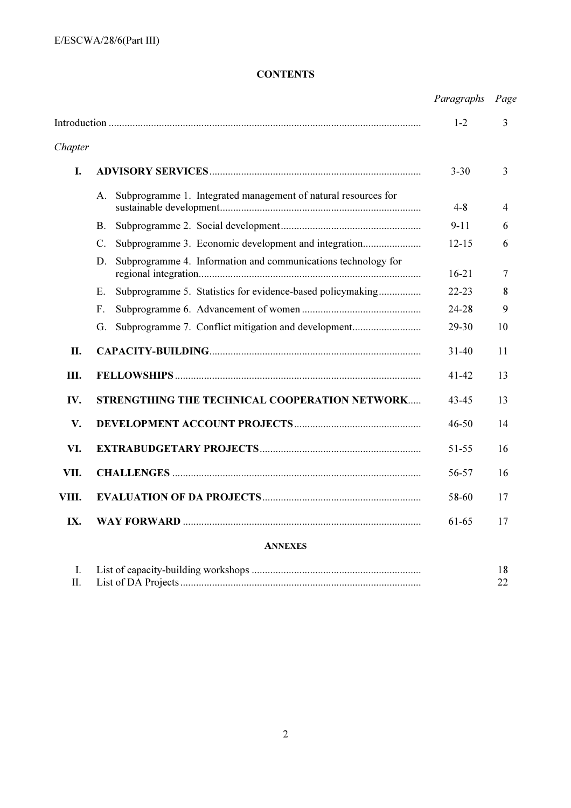# **CONTENTS**

|         |                                                                      | Paragraphs Page |    |
|---------|----------------------------------------------------------------------|-----------------|----|
|         |                                                                      | $1 - 2$         | 3  |
| Chapter |                                                                      |                 |    |
| I.      |                                                                      | $3 - 30$        | 3  |
|         | Subprogramme 1. Integrated management of natural resources for<br>A. | $4 - 8$         | 4  |
|         | B.                                                                   | $9 - 11$        | 6  |
|         | Subprogramme 3. Economic development and integration<br>$C_{\cdot}$  | $12 - 15$       | 6  |
|         | Subprogramme 4. Information and communications technology for<br>D.  | $16 - 21$       | 7  |
|         | Subprogramme 5. Statistics for evidence-based policymaking<br>E.     | 22-23           | 8  |
|         | $F_{\star}$                                                          | 24-28           | 9  |
|         | Subprogramme 7. Conflict mitigation and development<br>G.            | $29 - 30$       | 10 |
| II.     |                                                                      | $31 - 40$       | 11 |
| Ш.      |                                                                      | 41-42           | 13 |
| IV.     | <b>STRENGTHING THE TECHNICAL COOPERATION NETWORK</b>                 | 43-45           | 13 |
| V.      |                                                                      | 46-50           | 14 |
| VI.     |                                                                      | 51-55           | 16 |
| VII.    |                                                                      | 56-57           | 16 |
| VIII.   |                                                                      | 58-60           | 17 |
| IX.     |                                                                      | 61-65           | 17 |
|         |                                                                      |                 |    |

# ANNEXES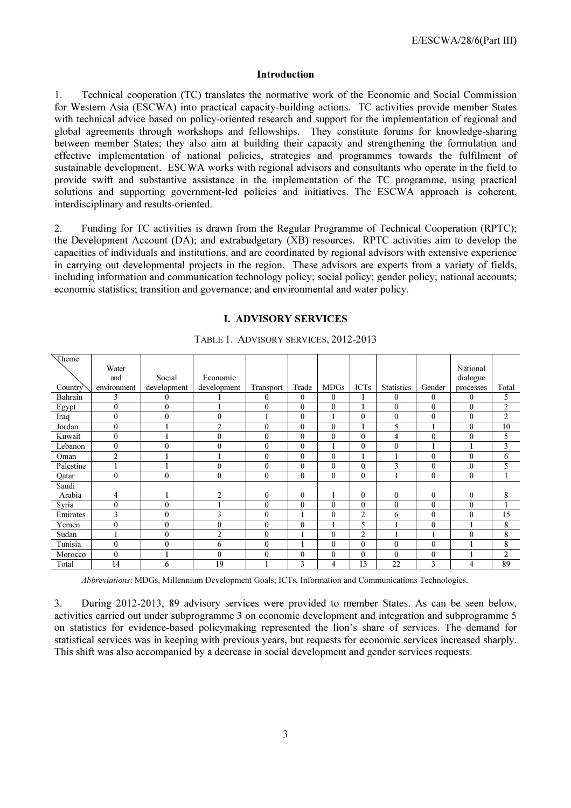#### Introduction

1. Technical cooperation (TC) translates the normative work of the Economic and Social Commission for Western Asia (ESCWA) into practical capacity-building actions. TC activities provide member States with technical advice based on policy-oriented research and support for the implementation of regional and global agreements through workshops and fellowships. They constitute forums for knowledge-sharing between member States; they also aim at building their capacity and strengthening the formulation and effective implementation of national policies, strategies and programmes towards the fulfilment of sustainable development. ESCWA works with regional advisors and consultants who operate in the field to provide swift and substantive assistance in the implementation of the TC programme, using practical solutions and supporting government-led policies and initiatives. The ESCWA approach is coherent, interdisciplinary and results-oriented.

2. Funding for TC activities is drawn from the Regular Programme of Technical Cooperation (RPTC); the Development Account (DA); and extrabudgetary (XB) resources. RPTC activities aim to develop the capacities of individuals and institutions, and are coordinated by regional advisors with extensive experience in carrying out developmental projects in the region. These advisors are experts from a variety of fields, including information and communication technology policy; social policy; gender policy; national accounts; economic statistics; transition and governance; and environmental and water policy.

### I. ADVISORY SERVICES

| Theme<br>Country | Water<br>and<br>environment | Social<br>development | Economic<br>development | Transport        | Trade            | <b>MDGs</b>      | <b>ICTs</b>    | <b>Statistics</b> | Gender       | National<br>dialogue<br>processes | Total          |
|------------------|-----------------------------|-----------------------|-------------------------|------------------|------------------|------------------|----------------|-------------------|--------------|-----------------------------------|----------------|
| Bahrain          | 3                           | $\boldsymbol{0}$      |                         | $\theta$         | $\theta$         | $\mathbf{0}$     |                | $\theta$          | $\theta$     | $\mathbf{0}$                      | 5              |
| Egypt            | $\mathbf{0}$                | $\mathbf{0}$          |                         | $\mathbf{0}$     | $\boldsymbol{0}$ | $\boldsymbol{0}$ |                | $\theta$          | $\mathbf{0}$ | $\mathbf{0}$                      | $\overline{2}$ |
| Iraq             | $\boldsymbol{0}$            | $\boldsymbol{0}$      | $\mathbf{0}$            | п                | $\mathbf{0}$     |                  | $\mathbf{0}$   | $\theta$          | $\mathbf{0}$ | $\mathbf{0}$                      | $\overline{2}$ |
| Jordan           | $\mathbf{0}$                |                       | $\overline{2}$          | $\mathbf{0}$     | $\theta$         | $\theta$         |                | 5                 |              | $\theta$                          | 10             |
| Kuwait           | $\mathbf{0}$                |                       | $\mathbf{0}$            | $\mathbf{0}$     | $\boldsymbol{0}$ | $\boldsymbol{0}$ | $\theta$       | 4                 | $\theta$     | $\theta$                          | 5              |
| Lebanon          | $\mathbf{0}$                | $\mathbf{0}$          | $\mathbf{0}$            | $\mathbf{0}$     | $\boldsymbol{0}$ |                  | $\theta$       | $\theta$          |              |                                   | 3              |
| Oman             | $\overline{c}$              |                       |                         | $\mathbf{0}$     | $\theta$         | $\theta$         |                |                   | $\theta$     | $\theta$                          | 6              |
| Palestine        |                             |                       | $\mathbf{0}$            | $\mathbf{0}$     | $\boldsymbol{0}$ | $\boldsymbol{0}$ | $\theta$       | 3                 | $\theta$     | $\theta$                          | 5              |
| Qatar            | $\theta$                    | $\mathbf{0}$          | $\mathbf{0}$            | $\mathbf{0}$     | $\boldsymbol{0}$ | $\boldsymbol{0}$ | $\mathbf{0}$   |                   | $\theta$     | $\theta$                          |                |
| Saudi            |                             |                       |                         |                  |                  |                  |                |                   |              |                                   |                |
| Arabia           | 4                           |                       | 2                       | $\boldsymbol{0}$ | $\boldsymbol{0}$ |                  | $\mathbf{0}$   | $\boldsymbol{0}$  | $\mathbf{0}$ | $\mathbf{0}$                      | 8              |
| Syria            | $\mathbf{0}$                | $\mathbf{0}$          |                         | $\mathbf{0}$     | $\boldsymbol{0}$ | $\theta$         | $\theta$       | $\theta$          | $\theta$     | $\theta$                          |                |
| Emirates         | 3                           | $\mathbf{0}$          | 3                       | $\mathbf{0}$     |                  | $\theta$         | $\overline{2}$ | 6                 | $\theta$     | $\theta$                          | 15             |
| Yemen            | $\mathbf{0}$                | $\boldsymbol{0}$      | $\mathbf{0}$            | $\mathbf{0}$     | 0                |                  | 5              |                   | $\mathbf{0}$ |                                   | 8              |
| Sudan            |                             | $\mathbf{0}$          | $\overline{2}$          | $\mathbf{0}$     |                  | $\boldsymbol{0}$ | $\overline{2}$ |                   |              | $\theta$                          | 8              |
| Tunisia          | $\mathbf{0}$                | $\mathbf{0}$          | 6                       | $\mathbf{0}$     |                  | $\theta$         | $\theta$       | $\theta$          | $\theta$     |                                   | 8              |
| Morocco          | $\boldsymbol{0}$            |                       | $\theta$                | $\mathbf{0}$     | $\mathbf{0}$     | $\theta$         | $\theta$       | $\theta$          | $\theta$     |                                   | $\overline{2}$ |
| Total            | 14                          | 6                     | 19                      |                  | 3                | 4                | 13             | 22                | 3            | 4                                 | 89             |

#### TABLE 1. ADVISORY SERVICES, 2012-2013

Abbreviations: MDGs, Millennium Development Goals; ICTs, Information and Communications Technologies.

3. During 2012-2013, 89 advisory services were provided to member States. As can be seen below, activities carried out under subprogramme 3 on economic development and integration and subprogramme 5 on statistics for evidence-based policymaking represented the lion's share of services. The demand for statistical services was in keeping with previous years, but requests for economic services increased sharply. This shift was also accompanied by a decrease in social development and gender services requests.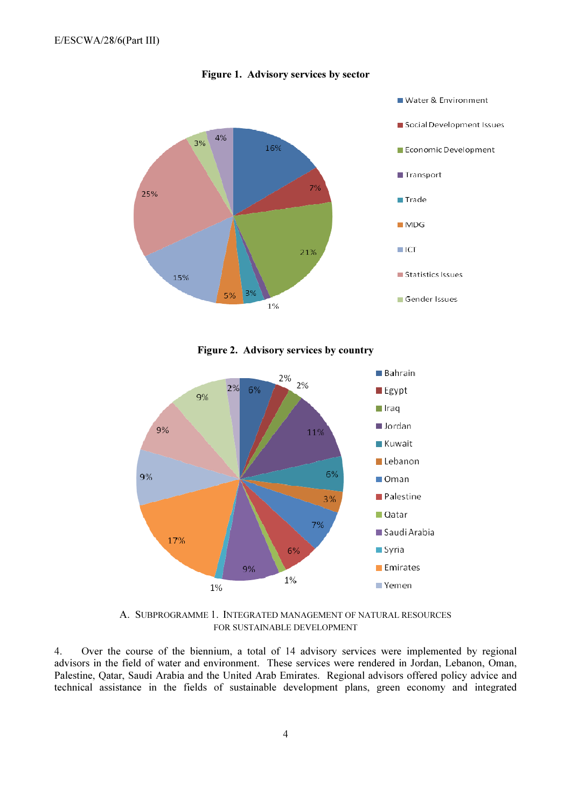

Figure 1. Advisory services by sector





A. SUBPROGRAMME 1. INTEGRATED MANAGEMENT OF NATURAL RESOURCES FOR SUSTAINABLE DEVELOPMENT

4. Over the course of the biennium, a total of 14 advisory services were implemented by regional advisors in the field of water and environment. These services were rendered in Jordan, Lebanon, Oman, Palestine, Qatar, Saudi Arabia and the United Arab Emirates. Regional advisors offered policy advice and technical assistance in the fields of sustainable development plans, green economy and integrated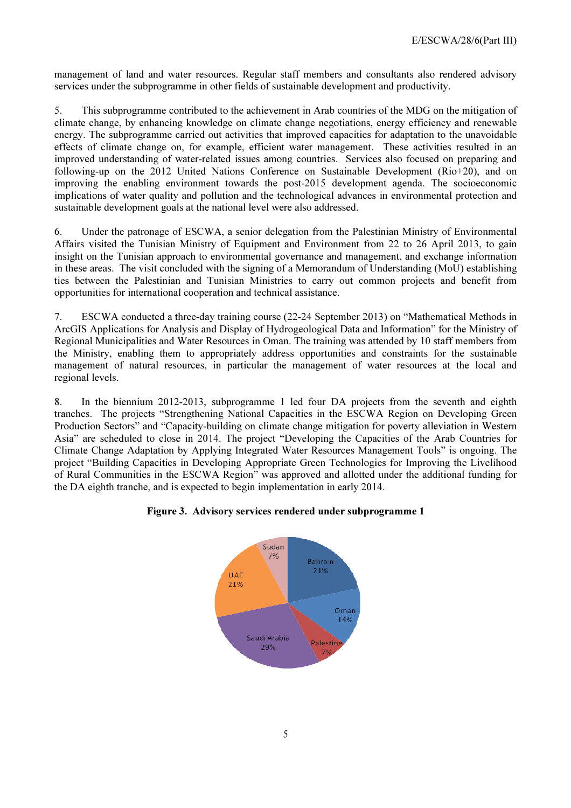management of land and water resources. Regular staff members and consultants also rendered advisory services under the subprogramme in other fields of sustainable development and productivity.

5. This subprogramme contributed to the achievement in Arab countries of the MDG on the mitigation of climate change, by enhancing knowledge on climate change negotiations, energy efficiency and renewable energy. The subprogramme carried out activities that improved capacities for adaptation to the unavoidable effects of climate change on, for example, efficient water management. These activities resulted in an improved understanding of water-related issues among countries. Services also focused on preparing and following-up on the 2012 United Nations Conference on Sustainable Development (Rio+20), and on improving the enabling environment towards the post-2015 development agenda. The socioeconomic implications of water quality and pollution and the technological advances in environmental protection and sustainable development goals at the national level were also addressed.

6. Under the patronage of ESCWA, a senior delegation from the Palestinian Ministry of Environmental Affairs visited the Tunisian Ministry of Equipment and Environment from 22 to 26 April 2013, to gain insight on the Tunisian approach to environmental governance and management, and exchange information in these areas. The visit concluded with the signing of a Memorandum of Understanding (MoU) establishing ties between the Palestinian and Tunisian Ministries to carry out common projects and benefit from opportunities for international cooperation and technical assistance.

7. ESCWA conducted a three-day training course (22-24 September 2013) on "Mathematical Methods in ArcGIS Applications for Analysis and Display of Hydrogeological Data and Information" for the Ministry of Regional Municipalities and Water Resources in Oman. The training was attended by 10 staff members from the Ministry, enabling them to appropriately address opportunities and constraints for the sustainable management of natural resources, in particular the management of water resources at the local and regional levels.

8. In the biennium 2012-2013, subprogramme 1 led four DA projects from the seventh and eighth tranches. The projects "Strengthening National Capacities in the ESCWA Region on Developing Green Production Sectors" and "Capacity-building on climate change mitigation for poverty alleviation in Western Asia" are scheduled to close in 2014. The project "Developing the Capacities of the Arab Countries for Climate Change Adaptation by Applying Integrated Water Resources Management Tools" is ongoing. The project "Building Capacities in Developing Appropriate Green Technologies for Improving the Livelihood of Rural Communities in the ESCWA Region" was approved and allotted under the additional funding for the DA eighth tranche, and is expected to begin implementation in early 2014.

# Figure 3. Advisory services rendered under subprogramme 1

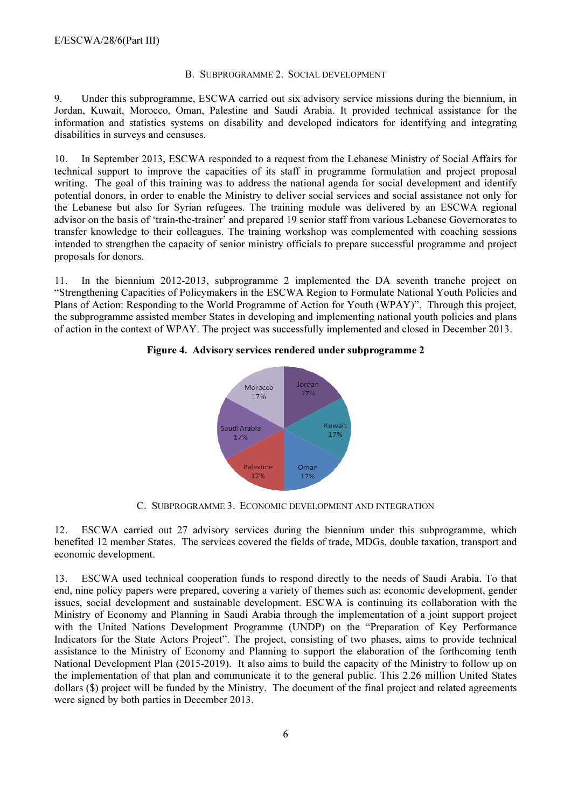### B. SUBPROGRAMME 2. SOCIAL DEVELOPMENT

9. Under this subprogramme, ESCWA carried out six advisory service missions during the biennium, in Jordan, Kuwait, Morocco, Oman, Palestine and Saudi Arabia. It provided technical assistance for the information and statistics systems on disability and developed indicators for identifying and integrating disabilities in surveys and censuses.

10. In September 2013, ESCWA responded to a request from the Lebanese Ministry of Social Affairs for technical support to improve the capacities of its staff in programme formulation and project proposal writing. The goal of this training was to address the national agenda for social development and identify potential donors, in order to enable the Ministry to deliver social services and social assistance not only for the Lebanese but also for Syrian refugees. The training module was delivered by an ESCWA regional advisor on the basis of 'train-the-trainer' and prepared 19 senior staff from various Lebanese Governorates to transfer knowledge to their colleagues. The training workshop was complemented with coaching sessions intended to strengthen the capacity of senior ministry officials to prepare successful programme and project proposals for donors.

11. In the biennium 2012-2013, subprogramme 2 implemented the DA seventh tranche project on "Strengthening Capacities of Policymakers in the ESCWA Region to Formulate National Youth Policies and Plans of Action: Responding to the World Programme of Action for Youth (WPAY)". Through this project, the subprogramme assisted member States in developing and implementing national youth policies and plans of action in the context of WPAY. The project was successfully implemented and closed in December 2013.

## Figure 4. Advisory services rendered under subprogramme 2



C. SUBPROGRAMME 3. ECONOMIC DEVELOPMENT AND INTEGRATION

12. ESCWA carried out 27 advisory services during the biennium under this subprogramme, which benefited 12 member States. The services covered the fields of trade, MDGs, double taxation, transport and economic development.

13. ESCWA used technical cooperation funds to respond directly to the needs of Saudi Arabia. To that end, nine policy papers were prepared, covering a variety of themes such as: economic development, gender issues, social development and sustainable development. ESCWA is continuing its collaboration with the Ministry of Economy and Planning in Saudi Arabia through the implementation of a joint support project with the United Nations Development Programme (UNDP) on the "Preparation of Key Performance Indicators for the State Actors Project". The project, consisting of two phases, aims to provide technical assistance to the Ministry of Economy and Planning to support the elaboration of the forthcoming tenth National Development Plan (2015-2019). It also aims to build the capacity of the Ministry to follow up on the implementation of that plan and communicate it to the general public. This 2.26 million United States dollars (\$) project will be funded by the Ministry. The document of the final project and related agreements were signed by both parties in December 2013.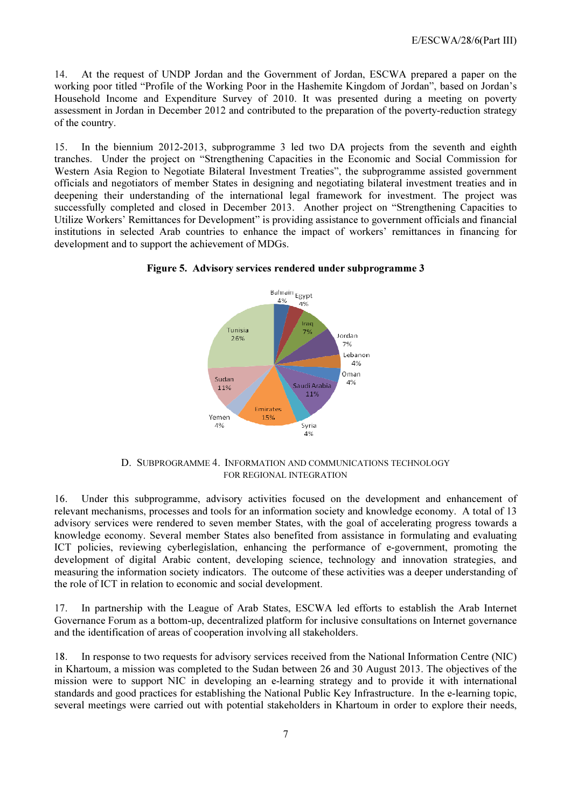14. At the request of UNDP Jordan and the Government of Jordan, ESCWA prepared a paper on the working poor titled "Profile of the Working Poor in the Hashemite Kingdom of Jordan", based on Jordan's Household Income and Expenditure Survey of 2010. It was presented during a meeting on poverty assessment in Jordan in December 2012 and contributed to the preparation of the poverty-reduction strategy of the country.

15. In the biennium 2012-2013, subprogramme 3 led two DA projects from the seventh and eighth tranches. Under the project on "Strengthening Capacities in the Economic and Social Commission for Western Asia Region to Negotiate Bilateral Investment Treaties", the subprogramme assisted government officials and negotiators of member States in designing and negotiating bilateral investment treaties and in deepening their understanding of the international legal framework for investment. The project was successfully completed and closed in December 2013. Another project on "Strengthening Capacities to Utilize Workers' Remittances for Development" is providing assistance to government officials and financial institutions in selected Arab countries to enhance the impact of workers' remittances in financing for development and to support the achievement of MDGs.



Figure 5. Advisory services rendered under subprogramme 3

D. SUBPROGRAMME 4. INFORMATION AND COMMUNICATIONS TECHNOLOGY FOR REGIONAL INTEGRATION

16. Under this subprogramme, advisory activities focused on the development and enhancement of relevant mechanisms, processes and tools for an information society and knowledge economy. A total of 13 advisory services were rendered to seven member States, with the goal of accelerating progress towards a knowledge economy. Several member States also benefited from assistance in formulating and evaluating ICT policies, reviewing cyberlegislation, enhancing the performance of e-government, promoting the development of digital Arabic content, developing science, technology and innovation strategies, and measuring the information society indicators. The outcome of these activities was a deeper understanding of the role of ICT in relation to economic and social development.

17. In partnership with the League of Arab States, ESCWA led efforts to establish the Arab Internet Governance Forum as a bottom-up, decentralized platform for inclusive consultations on Internet governance and the identification of areas of cooperation involving all stakeholders.

18. In response to two requests for advisory services received from the National Information Centre (NIC) in Khartoum, a mission was completed to the Sudan between 26 and 30 August 2013. The objectives of the mission were to support NIC in developing an e-learning strategy and to provide it with international standards and good practices for establishing the National Public Key Infrastructure. In the e-learning topic, several meetings were carried out with potential stakeholders in Khartoum in order to explore their needs,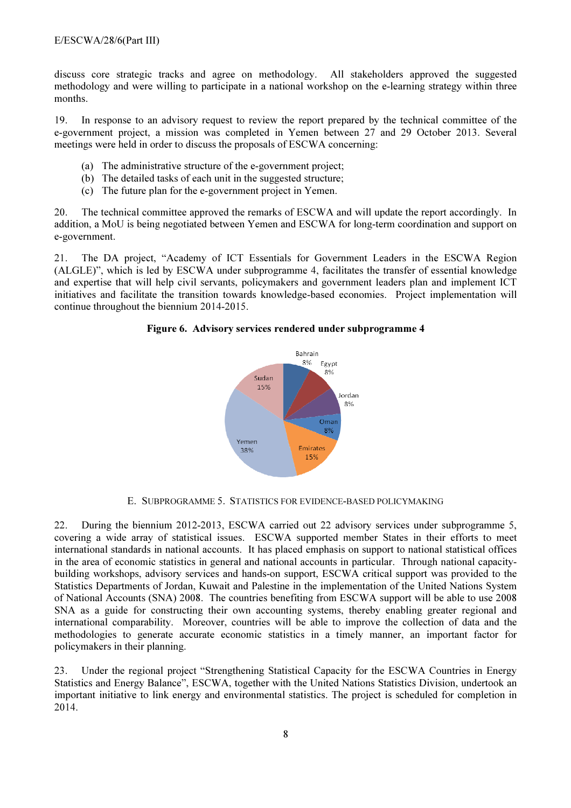discuss core strategic tracks and agree on methodology. All stakeholders approved the suggested methodology and were willing to participate in a national workshop on the e-learning strategy within three months.

19. In response to an advisory request to review the report prepared by the technical committee of the e-government project, a mission was completed in Yemen between 27 and 29 October 2013. Several meetings were held in order to discuss the proposals of ESCWA concerning:

- (a) The administrative structure of the e-government project;
- (b) The detailed tasks of each unit in the suggested structure;
- (c) The future plan for the e-government project in Yemen.

20. The technical committee approved the remarks of ESCWA and will update the report accordingly. In addition, a MoU is being negotiated between Yemen and ESCWA for long-term coordination and support on e-government.

21. The DA project, "Academy of ICT Essentials for Government Leaders in the ESCWA Region (ALGLE)", which is led by ESCWA under subprogramme 4, facilitates the transfer of essential knowledge and expertise that will help civil servants, policymakers and government leaders plan and implement ICT initiatives and facilitate the transition towards knowledge-based economies. Project implementation will continue throughout the biennium 2014-2015.

## Figure 6. Advisory services rendered under subprogramme 4



E. SUBPROGRAMME 5. STATISTICS FOR EVIDENCE-BASED POLICYMAKING

22. During the biennium 2012-2013, ESCWA carried out 22 advisory services under subprogramme 5, covering a wide array of statistical issues. ESCWA supported member States in their efforts to meet international standards in national accounts. It has placed emphasis on support to national statistical offices in the area of economic statistics in general and national accounts in particular. Through national capacitybuilding workshops, advisory services and hands-on support, ESCWA critical support was provided to the Statistics Departments of Jordan, Kuwait and Palestine in the implementation of the United Nations System of National Accounts (SNA) 2008. The countries benefiting from ESCWA support will be able to use 2008 SNA as a guide for constructing their own accounting systems, thereby enabling greater regional and international comparability. Moreover, countries will be able to improve the collection of data and the methodologies to generate accurate economic statistics in a timely manner, an important factor for policymakers in their planning.

23. Under the regional project "Strengthening Statistical Capacity for the ESCWA Countries in Energy Statistics and Energy Balance", ESCWA, together with the United Nations Statistics Division, undertook an important initiative to link energy and environmental statistics. The project is scheduled for completion in 2014.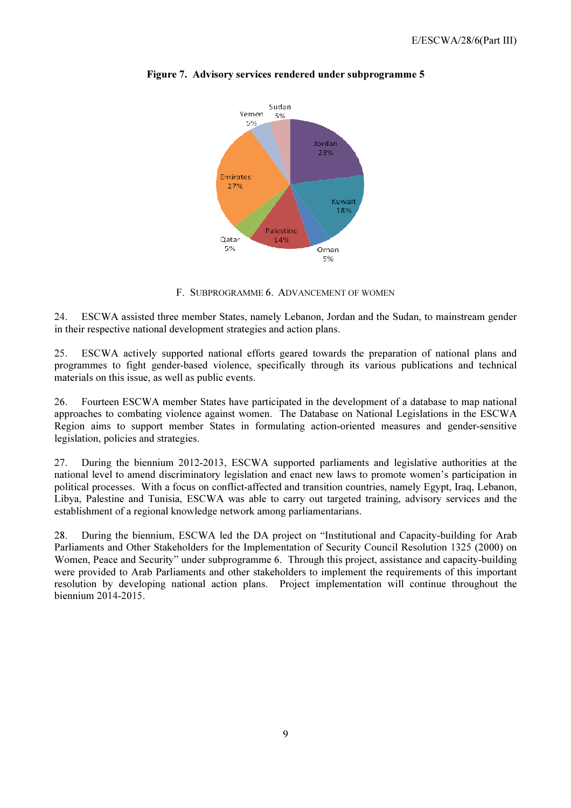

Figure 7. Advisory services rendered under subprogramme 5

### F. SUBPROGRAMME 6. ADVANCEMENT OF WOMEN

24. ESCWA assisted three member States, namely Lebanon, Jordan and the Sudan, to mainstream gender in their respective national development strategies and action plans.

25. ESCWA actively supported national efforts geared towards the preparation of national plans and programmes to fight gender-based violence, specifically through its various publications and technical materials on this issue, as well as public events.

26. Fourteen ESCWA member States have participated in the development of a database to map national approaches to combating violence against women. The Database on National Legislations in the ESCWA Region aims to support member States in formulating action-oriented measures and gender-sensitive legislation, policies and strategies.

27. During the biennium 2012-2013, ESCWA supported parliaments and legislative authorities at the national level to amend discriminatory legislation and enact new laws to promote women's participation in political processes. With a focus on conflict-affected and transition countries, namely Egypt, Iraq, Lebanon, Libya, Palestine and Tunisia, ESCWA was able to carry out targeted training, advisory services and the establishment of a regional knowledge network among parliamentarians.

28. During the biennium, ESCWA led the DA project on "Institutional and Capacity-building for Arab Parliaments and Other Stakeholders for the Implementation of Security Council Resolution 1325 (2000) on Women, Peace and Security" under subprogramme 6. Through this project, assistance and capacity-building were provided to Arab Parliaments and other stakeholders to implement the requirements of this important resolution by developing national action plans. Project implementation will continue throughout the biennium 2014-2015.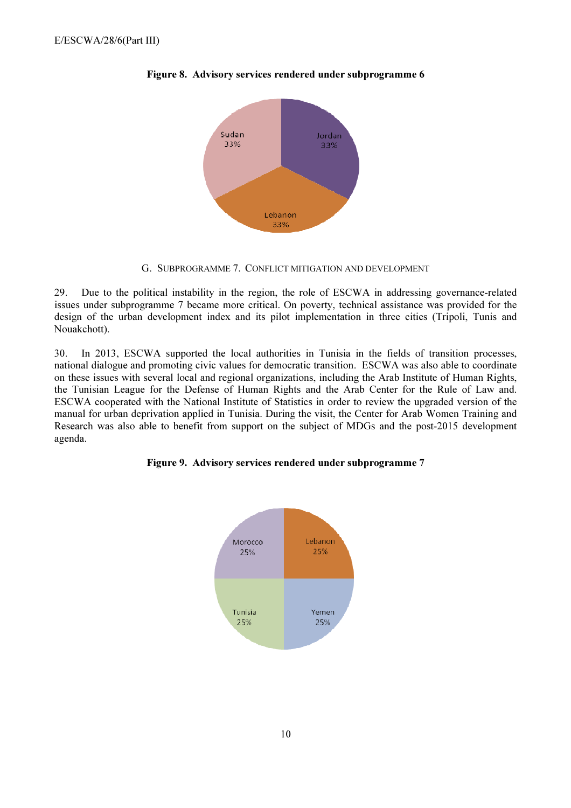

Figure 8. Advisory services rendered under subprogramme 6

G. SUBPROGRAMME 7. CONFLICT MITIGATION AND DEVELOPMENT

29. Due to the political instability in the region, the role of ESCWA in addressing governance-related issues under subprogramme 7 became more critical. On poverty, technical assistance was provided for the design of the urban development index and its pilot implementation in three cities (Tripoli, Tunis and Nouakchott).

30. In 2013, ESCWA supported the local authorities in Tunisia in the fields of transition processes, national dialogue and promoting civic values for democratic transition. ESCWA was also able to coordinate on these issues with several local and regional organizations, including the Arab Institute of Human Rights, the Tunisian League for the Defense of Human Rights and the Arab Center for the Rule of Law and. ESCWA cooperated with the National Institute of Statistics in order to review the upgraded version of the manual for urban deprivation applied in Tunisia. During the visit, the Center for Arab Women Training and Research was also able to benefit from support on the subject of MDGs and the post-2015 development agenda.



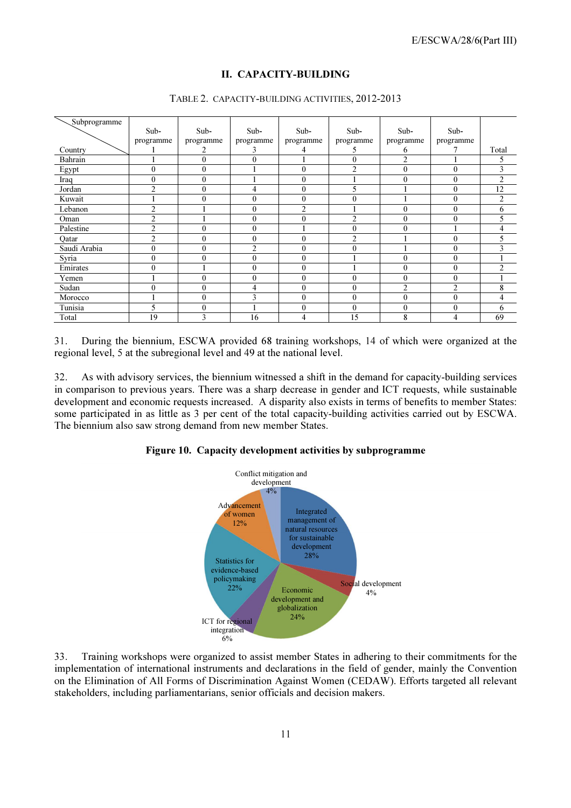| Subprogramme |                |                  |                  |                |                |                  |                  |                |
|--------------|----------------|------------------|------------------|----------------|----------------|------------------|------------------|----------------|
|              | Sub-           | Sub-             | Sub-             | Sub-           | Sub-           | Sub-             | Sub-             |                |
|              | programme      | programme        | programme        | programme      | programme      | programme        | programme        |                |
| Country      |                | 2                | 3                | 4              | 5              | 6                |                  | Total          |
| Bahrain      |                | $\theta$         | $\boldsymbol{0}$ |                | $\mathbf{0}$   | $\overline{2}$   |                  | 5              |
| Egypt        | $\mathbf{0}$   | $\boldsymbol{0}$ |                  | $\mathbf{0}$   | $\overline{2}$ | $\mathbf{0}$     | $\boldsymbol{0}$ | 3              |
| Iraq         | $\mathbf{0}$   | $\mathbf{0}$     |                  | $\mathbf{0}$   |                | $\mathbf{0}$     | $\theta$         | $\overline{2}$ |
| Jordan       | $\overline{2}$ | $\theta$         | 4                | $\theta$       | 5              |                  | $\theta$         | 12             |
| Kuwait       |                | $\mathbf{0}$     | $\mathbf{0}$     | $\mathbf{0}$   | $\mathbf{0}$   |                  | $\theta$         | $\overline{2}$ |
| Lebanon      | $\overline{2}$ |                  | $\boldsymbol{0}$ | $\overline{2}$ |                | $\theta$         | $\theta$         | 6              |
| Oman         | $\overline{2}$ |                  | $\mathbf{0}$     | $\mathbf{0}$   | $\overline{2}$ | $\boldsymbol{0}$ | $\theta$         | 5              |
| Palestine    | $\overline{2}$ | $\mathbf{0}$     | $\boldsymbol{0}$ |                | $\mathbf{0}$   | $\boldsymbol{0}$ |                  | 4              |
| Qatar        | $\overline{2}$ | $\mathbf{0}$     | $\mathbf{0}$     | $\theta$       | $\overline{c}$ |                  | $\theta$         | 5              |
| Saudi Arabia | $\mathbf{0}$   | $\mathbf{0}$     | $\overline{2}$   | $\mathbf{0}$   | $\mathbf{0}$   |                  | $\theta$         | 3              |
| Syria        | $\mathbf{0}$   | $\mathbf{0}$     | $\boldsymbol{0}$ | $\theta$       |                | $\boldsymbol{0}$ | $\mathbf{0}$     |                |
| Emirates     | $\mathbf{0}$   | ı                | $\boldsymbol{0}$ | $\mathbf{0}$   | п.             | $\mathbf{0}$     | $\theta$         | $\overline{2}$ |
| Yemen        |                | $\theta$         | $\boldsymbol{0}$ | $\mathbf{0}$   | $\mathbf{0}$   | $\theta$         | $\theta$         |                |
| Sudan        | $\mathbf{0}$   | $\theta$         | 4                | $\mathbf{0}$   | $\mathbf{0}$   | $\overline{2}$   | $\overline{2}$   | 8              |
| Morocco      |                | $\mathbf{0}$     | 3                | $\theta$       | $\mathbf{0}$   | $\theta$         | $\theta$         | 4              |
| Tunisia      | 5              | $\theta$         |                  | $\mathbf{0}$   | $\mathbf{0}$   | $\theta$         | $\theta$         | 6              |
| Total        | 19             | 3                | 16               | 4              | 15             | 8                | 4                | 69             |

# II. CAPACITY-BUILDING

|  | TABLE 2. CAPACITY-BUILDING ACTIVITIES, 2012-2013 |  |
|--|--------------------------------------------------|--|
|--|--------------------------------------------------|--|

31. During the biennium, ESCWA provided 68 training workshops, 14 of which were organized at the regional level, 5 at the subregional level and 49 at the national level.

32. As with advisory services, the biennium witnessed a shift in the demand for capacity-building services in comparison to previous years. There was a sharp decrease in gender and ICT requests, while sustainable development and economic requests increased. A disparity also exists in terms of benefits to member States: some participated in as little as 3 per cent of the total capacity-building activities carried out by ESCWA. The biennium also saw strong demand from new member States.

### Figure 10. Capacity development activities by subprogramme



33. Training workshops were organized to assist member States in adhering to their commitments for the implementation of international instruments and declarations in the field of gender, mainly the Convention on the Elimination of All Forms of Discrimination Against Women (CEDAW). Efforts targeted all relevant stakeholders, including parliamentarians, senior officials and decision makers.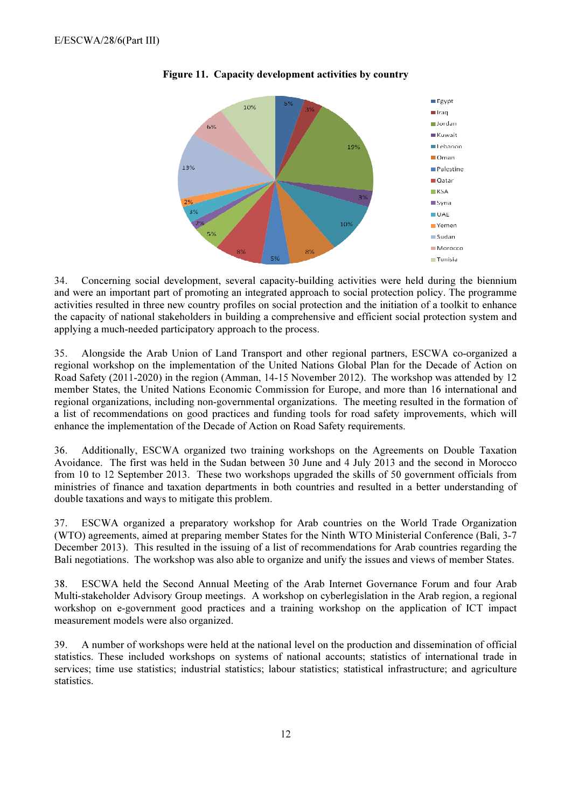

Figure 11. Capacity development activities by country

34. Concerning social development, several capacity-building activities were held during the biennium and were an important part of promoting an integrated approach to social protection policy. The programme activities resulted in three new country profiles on social protection and the initiation of a toolkit to enhance the capacity of national stakeholders in building a comprehensive and efficient social protection system and applying a much-needed participatory approach to the process.

35. Alongside the Arab Union of Land Transport and other regional partners, ESCWA co-organized a regional workshop on the implementation of the United Nations Global Plan for the Decade of Action on Road Safety (2011-2020) in the region (Amman, 14-15 November 2012). The workshop was attended by 12 member States, the United Nations Economic Commission for Europe, and more than 16 international and regional organizations, including non-governmental organizations. The meeting resulted in the formation of a list of recommendations on good practices and funding tools for road safety improvements, which will enhance the implementation of the Decade of Action on Road Safety requirements.

36. Additionally, ESCWA organized two training workshops on the Agreements on Double Taxation Avoidance. The first was held in the Sudan between 30 June and 4 July 2013 and the second in Morocco from 10 to 12 September 2013. These two workshops upgraded the skills of 50 government officials from ministries of finance and taxation departments in both countries and resulted in a better understanding of double taxations and ways to mitigate this problem.

37. ESCWA organized a preparatory workshop for Arab countries on the World Trade Organization (WTO) agreements, aimed at preparing member States for the Ninth WTO Ministerial Conference (Bali, 3-7 December 2013). This resulted in the issuing of a list of recommendations for Arab countries regarding the Bali negotiations. The workshop was also able to organize and unify the issues and views of member States.

38. ESCWA held the Second Annual Meeting of the Arab Internet Governance Forum and four Arab Multi-stakeholder Advisory Group meetings. A workshop on cyberlegislation in the Arab region, a regional workshop on e-government good practices and a training workshop on the application of ICT impact measurement models were also organized.

39. A number of workshops were held at the national level on the production and dissemination of official statistics. These included workshops on systems of national accounts; statistics of international trade in services; time use statistics; industrial statistics; labour statistics; statistical infrastructure; and agriculture statistics.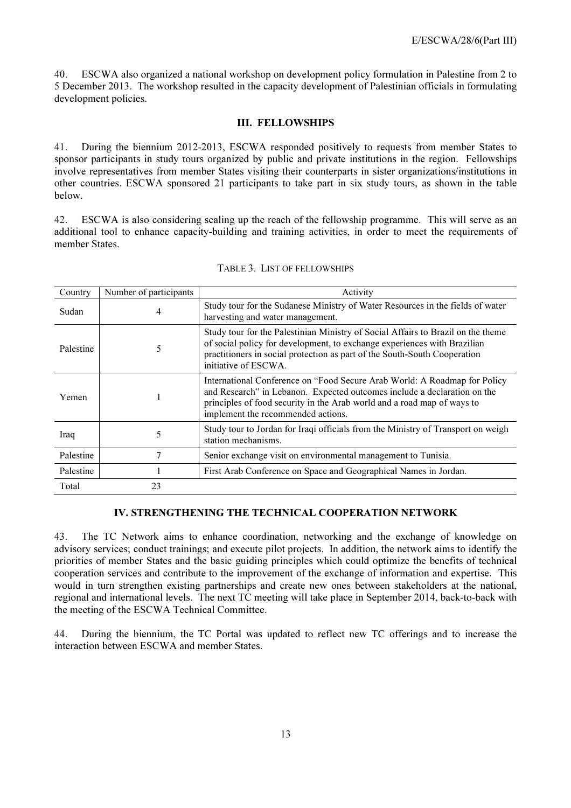40. ESCWA also organized a national workshop on development policy formulation in Palestine from 2 to 5 December 2013. The workshop resulted in the capacity development of Palestinian officials in formulating development policies.

## III. FELLOWSHIPS

41. During the biennium 2012-2013, ESCWA responded positively to requests from member States to sponsor participants in study tours organized by public and private institutions in the region. Fellowships involve representatives from member States visiting their counterparts in sister organizations/institutions in other countries. ESCWA sponsored 21 participants to take part in six study tours, as shown in the table below.

42. ESCWA is also considering scaling up the reach of the fellowship programme. This will serve as an additional tool to enhance capacity-building and training activities, in order to meet the requirements of member States.

| Country   | Number of participants | Activity                                                                                                                                                                                                                                                               |
|-----------|------------------------|------------------------------------------------------------------------------------------------------------------------------------------------------------------------------------------------------------------------------------------------------------------------|
| Sudan     | 4                      | Study tour for the Sudanese Ministry of Water Resources in the fields of water<br>harvesting and water management.                                                                                                                                                     |
| Palestine | 5                      | Study tour for the Palestinian Ministry of Social Affairs to Brazil on the theme<br>of social policy for development, to exchange experiences with Brazilian<br>practitioners in social protection as part of the South-South Cooperation<br>initiative of ESCWA.      |
| Yemen     |                        | International Conference on "Food Secure Arab World: A Roadmap for Policy<br>and Research" in Lebanon. Expected outcomes include a declaration on the<br>principles of food security in the Arab world and a road map of ways to<br>implement the recommended actions. |
| Iraq      | 5                      | Study tour to Jordan for Iraqi officials from the Ministry of Transport on weigh<br>station mechanisms.                                                                                                                                                                |
| Palestine | 7                      | Senior exchange visit on environmental management to Tunisia.                                                                                                                                                                                                          |
| Palestine |                        | First Arab Conference on Space and Geographical Names in Jordan.                                                                                                                                                                                                       |
| Total     | 23                     |                                                                                                                                                                                                                                                                        |

### TABLE 3. LIST OF FELLOWSHIPS

## IV. STRENGTHENING THE TECHNICAL COOPERATION NETWORK

43. The TC Network aims to enhance coordination, networking and the exchange of knowledge on advisory services; conduct trainings; and execute pilot projects. In addition, the network aims to identify the priorities of member States and the basic guiding principles which could optimize the benefits of technical cooperation services and contribute to the improvement of the exchange of information and expertise. This would in turn strengthen existing partnerships and create new ones between stakeholders at the national, regional and international levels. The next TC meeting will take place in September 2014, back-to-back with the meeting of the ESCWA Technical Committee.

44. During the biennium, the TC Portal was updated to reflect new TC offerings and to increase the interaction between ESCWA and member States.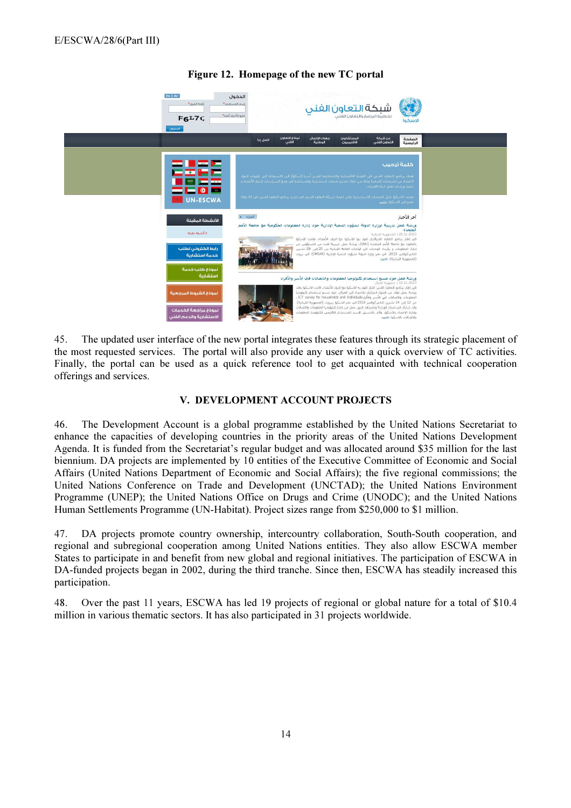

## Figure 12. Homepage of the new TC portal

45. The updated user interface of the new portal integrates these features through its strategic placement of the most requested services. The portal will also provide any user with a quick overview of TC activities. Finally, the portal can be used as a quick reference tool to get acquainted with technical cooperation offerings and services.

## V. DEVELOPMENT ACCOUNT PROJECTS

46. The Development Account is a global programme established by the United Nations Secretariat to enhance the capacities of developing countries in the priority areas of the United Nations Development Agenda. It is funded from the Secretariat's regular budget and was allocated around \$35 million for the last biennium. DA projects are implemented by 10 entities of the Executive Committee of Economic and Social Affairs (United Nations Department of Economic and Social Affairs); the five regional commissions; the United Nations Conference on Trade and Development (UNCTAD); the United Nations Environment Programme (UNEP); the United Nations Office on Drugs and Crime (UNODC); and the United Nations Human Settlements Programme (UN-Habitat). Project sizes range from \$250,000 to \$1 million.

47. DA projects promote country ownership, intercountry collaboration, South-South cooperation, and regional and subregional cooperation among United Nations entities. They also allow ESCWA member States to participate in and benefit from new global and regional initiatives. The participation of ESCWA in DA-funded projects began in 2002, during the third tranche. Since then, ESCWA has steadily increased this participation.

48. Over the past 11 years, ESCWA has led 19 projects of regional or global nature for a total of \$10.4 million in various thematic sectors. It has also participated in 31 projects worldwide.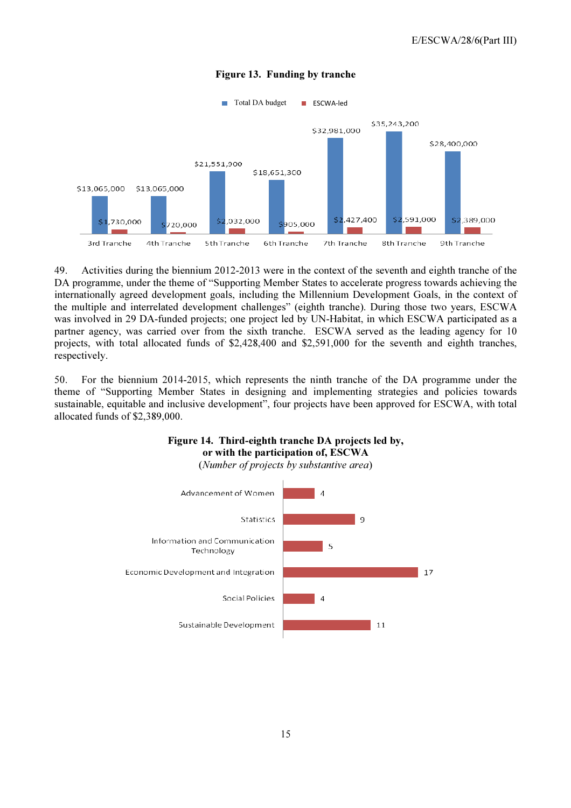

#### Figure 13. Funding by tranche

49. Activities during the biennium 2012-2013 were in the context of the seventh and eighth tranche of the DA programme, under the theme of "Supporting Member States to accelerate progress towards achieving the internationally agreed development goals, including the Millennium Development Goals, in the context of the multiple and interrelated development challenges" (eighth tranche). During those two years, ESCWA was involved in 29 DA-funded projects; one project led by UN-Habitat, in which ESCWA participated as a partner agency, was carried over from the sixth tranche. ESCWA served as the leading agency for 10 projects, with total allocated funds of \$2,428,400 and \$2,591,000 for the seventh and eighth tranches, respectively.

50. For the biennium 2014-2015, which represents the ninth tranche of the DA programme under the theme of "Supporting Member States in designing and implementing strategies and policies towards sustainable, equitable and inclusive development", four projects have been approved for ESCWA, with total allocated funds of \$2,389,000.

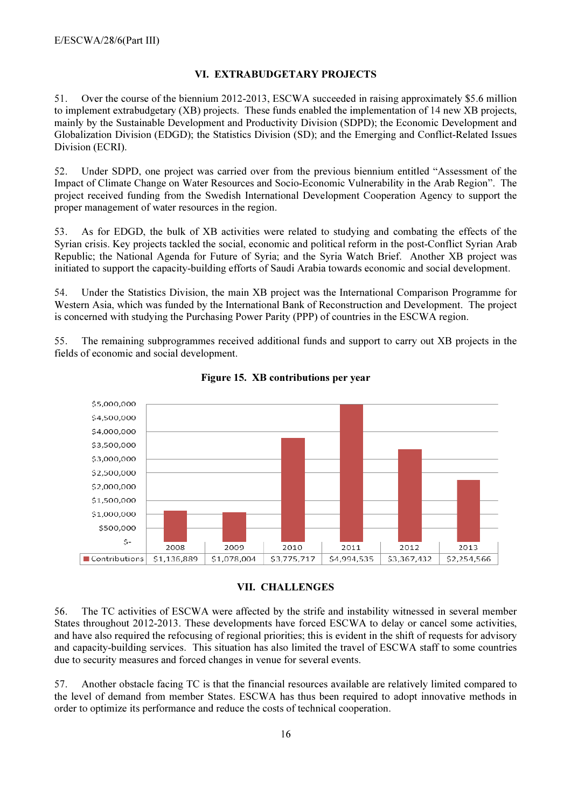## VI. EXTRABUDGETARY PROJECTS

51. Over the course of the biennium 2012-2013, ESCWA succeeded in raising approximately \$5.6 million to implement extrabudgetary (XB) projects. These funds enabled the implementation of 14 new XB projects, mainly by the Sustainable Development and Productivity Division (SDPD); the Economic Development and Globalization Division (EDGD); the Statistics Division (SD); and the Emerging and Conflict-Related Issues Division (ECRI).

52. Under SDPD, one project was carried over from the previous biennium entitled "Assessment of the Impact of Climate Change on Water Resources and Socio-Economic Vulnerability in the Arab Region". The project received funding from the Swedish International Development Cooperation Agency to support the proper management of water resources in the region.

53. As for EDGD, the bulk of XB activities were related to studying and combating the effects of the Syrian crisis. Key projects tackled the social, economic and political reform in the post-Conflict Syrian Arab Republic; the National Agenda for Future of Syria; and the Syria Watch Brief. Another XB project was initiated to support the capacity-building efforts of Saudi Arabia towards economic and social development.

54. Under the Statistics Division, the main XB project was the International Comparison Programme for Western Asia, which was funded by the International Bank of Reconstruction and Development. The project is concerned with studying the Purchasing Power Parity (PPP) of countries in the ESCWA region.

55. The remaining subprogrammes received additional funds and support to carry out XB projects in the fields of economic and social development.





### VII. CHALLENGES

56. The TC activities of ESCWA were affected by the strife and instability witnessed in several member States throughout 2012-2013. These developments have forced ESCWA to delay or cancel some activities, and have also required the refocusing of regional priorities; this is evident in the shift of requests for advisory and capacity-building services. This situation has also limited the travel of ESCWA staff to some countries due to security measures and forced changes in venue for several events.

57. Another obstacle facing TC is that the financial resources available are relatively limited compared to the level of demand from member States. ESCWA has thus been required to adopt innovative methods in order to optimize its performance and reduce the costs of technical cooperation.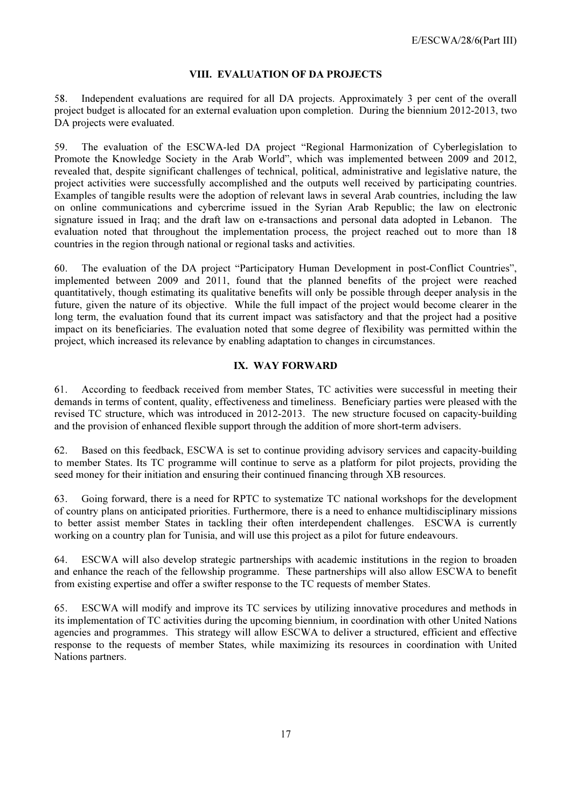## VIII. EVALUATION OF DA PROJECTS

58. Independent evaluations are required for all DA projects. Approximately 3 per cent of the overall project budget is allocated for an external evaluation upon completion. During the biennium 2012-2013, two DA projects were evaluated.

59. The evaluation of the ESCWA-led DA project "Regional Harmonization of Cyberlegislation to Promote the Knowledge Society in the Arab World", which was implemented between 2009 and 2012, revealed that, despite significant challenges of technical, political, administrative and legislative nature, the project activities were successfully accomplished and the outputs well received by participating countries. Examples of tangible results were the adoption of relevant laws in several Arab countries, including the law on online communications and cybercrime issued in the Syrian Arab Republic; the law on electronic signature issued in Iraq; and the draft law on e-transactions and personal data adopted in Lebanon. The evaluation noted that throughout the implementation process, the project reached out to more than 18 countries in the region through national or regional tasks and activities.

60. The evaluation of the DA project "Participatory Human Development in post-Conflict Countries", implemented between 2009 and 2011, found that the planned benefits of the project were reached quantitatively, though estimating its qualitative benefits will only be possible through deeper analysis in the future, given the nature of its objective. While the full impact of the project would become clearer in the long term, the evaluation found that its current impact was satisfactory and that the project had a positive impact on its beneficiaries. The evaluation noted that some degree of flexibility was permitted within the project, which increased its relevance by enabling adaptation to changes in circumstances.

# IX. WAY FORWARD

61. According to feedback received from member States, TC activities were successful in meeting their demands in terms of content, quality, effectiveness and timeliness. Beneficiary parties were pleased with the revised TC structure, which was introduced in 2012-2013. The new structure focused on capacity-building and the provision of enhanced flexible support through the addition of more short-term advisers.

62. Based on this feedback, ESCWA is set to continue providing advisory services and capacity-building to member States. Its TC programme will continue to serve as a platform for pilot projects, providing the seed money for their initiation and ensuring their continued financing through XB resources.

63. Going forward, there is a need for RPTC to systematize TC national workshops for the development of country plans on anticipated priorities. Furthermore, there is a need to enhance multidisciplinary missions to better assist member States in tackling their often interdependent challenges. ESCWA is currently working on a country plan for Tunisia, and will use this project as a pilot for future endeavours.

64. ESCWA will also develop strategic partnerships with academic institutions in the region to broaden and enhance the reach of the fellowship programme. These partnerships will also allow ESCWA to benefit from existing expertise and offer a swifter response to the TC requests of member States.

65. ESCWA will modify and improve its TC services by utilizing innovative procedures and methods in its implementation of TC activities during the upcoming biennium, in coordination with other United Nations agencies and programmes. This strategy will allow ESCWA to deliver a structured, efficient and effective response to the requests of member States, while maximizing its resources in coordination with United Nations partners.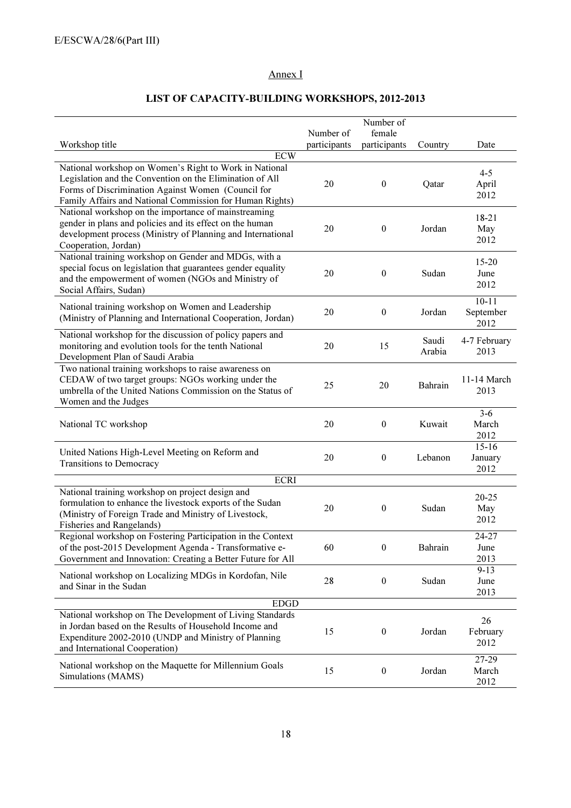# Annex I

|                                                                                                                                                                                                                                                    |              | Number of        |                 |                                |
|----------------------------------------------------------------------------------------------------------------------------------------------------------------------------------------------------------------------------------------------------|--------------|------------------|-----------------|--------------------------------|
|                                                                                                                                                                                                                                                    | Number of    | female           |                 |                                |
| Workshop title                                                                                                                                                                                                                                     | participants | participants     | Country         | Date                           |
| <b>ECW</b><br>National workshop on Women's Right to Work in National<br>Legislation and the Convention on the Elimination of All<br>Forms of Discrimination Against Women (Council for<br>Family Affairs and National Commission for Human Rights) | 20           | $\boldsymbol{0}$ | Qatar           | $4 - 5$<br>April<br>2012       |
| National workshop on the importance of mainstreaming<br>gender in plans and policies and its effect on the human<br>development process (Ministry of Planning and International<br>Cooperation, Jordan)                                            | 20           | $\boldsymbol{0}$ | Jordan          | $18 - 21$<br>May<br>2012       |
| National training workshop on Gender and MDGs, with a<br>special focus on legislation that guarantees gender equality<br>and the empowerment of women (NGOs and Ministry of<br>Social Affairs, Sudan)                                              | 20           | $\boldsymbol{0}$ | Sudan           | $15 - 20$<br>June<br>2012      |
| National training workshop on Women and Leadership<br>(Ministry of Planning and International Cooperation, Jordan)                                                                                                                                 | 20           | $\boldsymbol{0}$ | Jordan          | $10 - 11$<br>September<br>2012 |
| National workshop for the discussion of policy papers and<br>monitoring and evolution tools for the tenth National<br>Development Plan of Saudi Arabia                                                                                             | 20           | 15               | Saudi<br>Arabia | 4-7 February<br>2013           |
| Two national training workshops to raise awareness on<br>CEDAW of two target groups: NGOs working under the<br>umbrella of the United Nations Commission on the Status of<br>Women and the Judges                                                  | 25           | 20               | Bahrain         | 11-14 March<br>2013            |
| National TC workshop                                                                                                                                                                                                                               | 20           | $\boldsymbol{0}$ | Kuwait          | $3 - 6$<br>March<br>2012       |
| United Nations High-Level Meeting on Reform and<br>Transitions to Democracy                                                                                                                                                                        | 20           | $\boldsymbol{0}$ | Lebanon         | $15-16$<br>January<br>2012     |
| <b>ECRI</b>                                                                                                                                                                                                                                        |              |                  |                 |                                |
| National training workshop on project design and<br>formulation to enhance the livestock exports of the Sudan<br>(Ministry of Foreign Trade and Ministry of Livestock,<br>Fisheries and Rangelands)                                                | 20           | $\boldsymbol{0}$ | Sudan           | $20 - 25$<br>May<br>2012       |
| Regional workshop on Fostering Participation in the Context<br>of the post-2015 Development Agenda - Transformative e-<br>Government and Innovation: Creating a Better Future for All                                                              | 60           | 0                | Bahrain         | 24-27<br>June<br>2013          |
| National workshop on Localizing MDGs in Kordofan, Nile<br>and Sinar in the Sudan                                                                                                                                                                   | 28           | $\boldsymbol{0}$ | Sudan           | $9 - 13$<br>June<br>2013       |
| <b>EDGD</b>                                                                                                                                                                                                                                        |              |                  |                 |                                |
| National workshop on The Development of Living Standards<br>in Jordan based on the Results of Household Income and<br>Expenditure 2002-2010 (UNDP and Ministry of Planning<br>and International Cooperation)                                       | 15           | $\boldsymbol{0}$ | Jordan          | 26<br>February<br>2012         |
| National workshop on the Maquette for Millennium Goals<br>Simulations (MAMS)                                                                                                                                                                       | 15           | $\boldsymbol{0}$ | Jordan          | 27-29<br>March<br>2012         |

# LIST OF CAPACITY-BUILDING WORKSHOPS, 2012-2013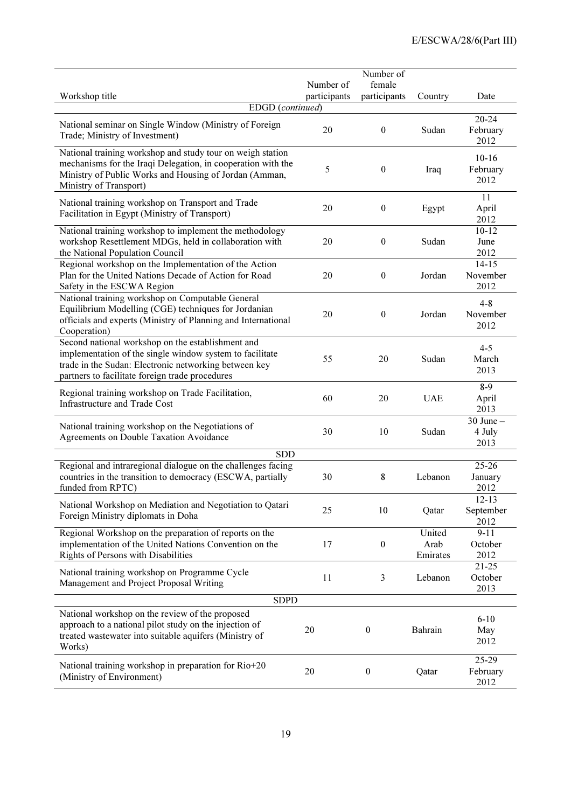|                                                                                                                                                                                                                           |              | Number of        |                            |                                  |  |  |  |
|---------------------------------------------------------------------------------------------------------------------------------------------------------------------------------------------------------------------------|--------------|------------------|----------------------------|----------------------------------|--|--|--|
|                                                                                                                                                                                                                           | Number of    | female           |                            |                                  |  |  |  |
| Workshop title                                                                                                                                                                                                            | participants | participants     | Country                    | Date                             |  |  |  |
| EDGD (continued)                                                                                                                                                                                                          |              |                  |                            |                                  |  |  |  |
| National seminar on Single Window (Ministry of Foreign<br>Trade; Ministry of Investment)                                                                                                                                  | 20           | $\boldsymbol{0}$ | Sudan                      | 20-24<br>February<br>2012        |  |  |  |
| National training workshop and study tour on weigh station<br>mechanisms for the Iraqi Delegation, in cooperation with the<br>Ministry of Public Works and Housing of Jordan (Amman,<br>Ministry of Transport)            | 5            | $\boldsymbol{0}$ | Iraq                       | $10-16$<br>February<br>2012      |  |  |  |
| National training workshop on Transport and Trade<br>Facilitation in Egypt (Ministry of Transport)                                                                                                                        | 20           | $\boldsymbol{0}$ | Egypt                      | $\overline{11}$<br>April<br>2012 |  |  |  |
| National training workshop to implement the methodology<br>workshop Resettlement MDGs, held in collaboration with<br>the National Population Council                                                                      | 20           | $\boldsymbol{0}$ | Sudan                      | $10 - 12$<br>June<br>2012        |  |  |  |
| Regional workshop on the Implementation of the Action<br>Plan for the United Nations Decade of Action for Road<br>Safety in the ESCWA Region                                                                              | 20           | $\boldsymbol{0}$ | Jordan                     | $14 - 15$<br>November<br>2012    |  |  |  |
| National training workshop on Computable General<br>Equilibrium Modelling (CGE) techniques for Jordanian<br>officials and experts (Ministry of Planning and International<br>Cooperation)                                 | 20           | $\boldsymbol{0}$ | Jordan                     | $4 - 8$<br>November<br>2012      |  |  |  |
| Second national workshop on the establishment and<br>implementation of the single window system to facilitate<br>trade in the Sudan: Electronic networking between key<br>partners to facilitate foreign trade procedures | 55           | 20               | Sudan                      | $4 - 5$<br>March<br>2013         |  |  |  |
| Regional training workshop on Trade Facilitation,<br>Infrastructure and Trade Cost                                                                                                                                        | 60           | 20               | <b>UAE</b>                 | $8-9$<br>April<br>2013           |  |  |  |
| National training workshop on the Negotiations of<br>Agreements on Double Taxation Avoidance                                                                                                                              | 30           | 10               | Sudan                      | $30$ June $-$<br>4 July<br>2013  |  |  |  |
| <b>SDD</b>                                                                                                                                                                                                                |              |                  |                            |                                  |  |  |  |
| Regional and intraregional dialogue on the challenges facing<br>countries in the transition to democracy (ESCWA, partially<br>funded from RPTC)                                                                           | 30           | 8                | Lebanon                    | $25 - 26$<br>January<br>2012     |  |  |  |
| National Workshop on Mediation and Negotiation to Qatari<br>Foreign Ministry diplomats in Doha                                                                                                                            | 25           | 10               | Qatar                      | $12 - 13$<br>September<br>2012   |  |  |  |
| Regional Workshop on the preparation of reports on the<br>implementation of the United Nations Convention on the<br>Rights of Persons with Disabilities                                                                   | 17           | $\boldsymbol{0}$ | United<br>Arab<br>Emirates | $9 - 11$<br>October<br>2012      |  |  |  |
| National training workshop on Programme Cycle<br>Management and Project Proposal Writing                                                                                                                                  | 11           | $\mathfrak{Z}$   | Lebanon                    | $21 - 25$<br>October<br>2013     |  |  |  |
| <b>SDPD</b>                                                                                                                                                                                                               |              |                  |                            |                                  |  |  |  |
| National workshop on the review of the proposed<br>approach to a national pilot study on the injection of<br>treated wastewater into suitable aquifers (Ministry of<br>Works)                                             | 20           | $\boldsymbol{0}$ | Bahrain                    | $6 - 10$<br>May<br>2012          |  |  |  |
| National training workshop in preparation for Rio+20<br>(Ministry of Environment)                                                                                                                                         | 20           | $\boldsymbol{0}$ | Qatar                      | 25-29<br>February<br>2012        |  |  |  |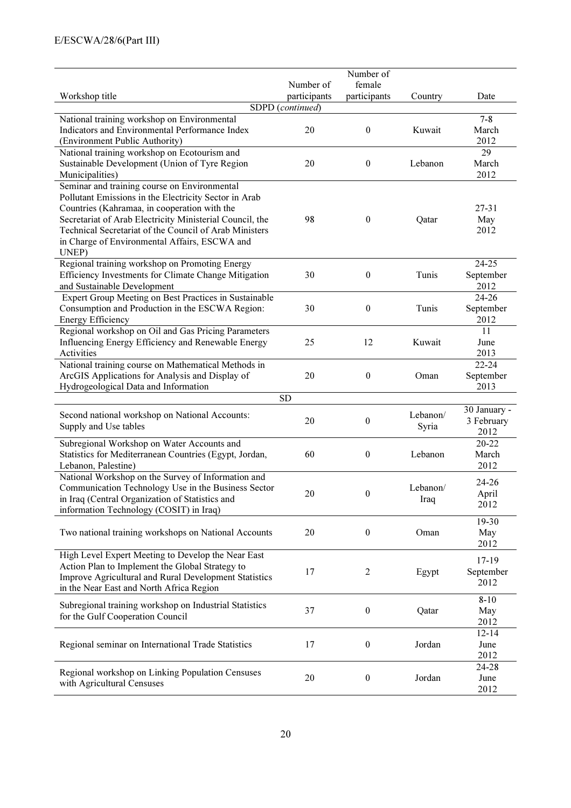|                                                                                                                                                                                                                                                                                                                                       |                           | Number of              |                   |                                    |
|---------------------------------------------------------------------------------------------------------------------------------------------------------------------------------------------------------------------------------------------------------------------------------------------------------------------------------------|---------------------------|------------------------|-------------------|------------------------------------|
| Workshop title                                                                                                                                                                                                                                                                                                                        | Number of<br>participants | female<br>participants | Country           | Date                               |
|                                                                                                                                                                                                                                                                                                                                       | SDPD (continued)          |                        |                   |                                    |
| National training workshop on Environmental<br>Indicators and Environmental Performance Index<br>(Environment Public Authority)                                                                                                                                                                                                       | 20                        | $\mathbf{0}$           | Kuwait            | $7 - 8$<br>March<br>2012           |
| National training workshop on Ecotourism and<br>Sustainable Development (Union of Tyre Region<br>Municipalities)                                                                                                                                                                                                                      | 20                        | $\boldsymbol{0}$       | Lebanon           | 29<br>March<br>2012                |
| Seminar and training course on Environmental<br>Pollutant Emissions in the Electricity Sector in Arab<br>Countries (Kahramaa, in cooperation with the<br>Secretariat of Arab Electricity Ministerial Council, the<br>Technical Secretariat of the Council of Arab Ministers<br>in Charge of Environmental Affairs, ESCWA and<br>UNEP) | 98                        | $\boldsymbol{0}$       | Qatar             | $27 - 31$<br>May<br>2012           |
| Regional training workshop on Promoting Energy<br>Efficiency Investments for Climate Change Mitigation<br>and Sustainable Development                                                                                                                                                                                                 | 30                        | $\boldsymbol{0}$       | Tunis             | 24-25<br>September<br>2012         |
| Expert Group Meeting on Best Practices in Sustainable<br>Consumption and Production in the ESCWA Region:<br><b>Energy Efficiency</b>                                                                                                                                                                                                  | 30                        | $\mathbf{0}$           | Tunis             | 24-26<br>September<br>2012         |
| Regional workshop on Oil and Gas Pricing Parameters<br>Influencing Energy Efficiency and Renewable Energy<br>Activities                                                                                                                                                                                                               | 25                        | 12                     | Kuwait            | 11<br>June<br>2013                 |
| National training course on Mathematical Methods in<br>ArcGIS Applications for Analysis and Display of<br>Hydrogeological Data and Information                                                                                                                                                                                        | 20                        | $\boldsymbol{0}$       | Oman              | 22-24<br>September<br>2013         |
|                                                                                                                                                                                                                                                                                                                                       | <b>SD</b>                 |                        |                   |                                    |
| Second national workshop on National Accounts:<br>Supply and Use tables                                                                                                                                                                                                                                                               | 20                        | $\boldsymbol{0}$       | Lebanon/<br>Syria | 30 January -<br>3 February<br>2012 |
| Subregional Workshop on Water Accounts and<br>Statistics for Mediterranean Countries (Egypt, Jordan,<br>Lebanon, Palestine)                                                                                                                                                                                                           | 60                        | $\boldsymbol{0}$       | Lebanon           | 20-22<br>March<br>2012             |
| National Workshop on the Survey of Information and<br>Communication Technology Use in the Business Sector<br>in Iraq (Central Organization of Statistics and<br>information Technology (COSIT) in Iraq)                                                                                                                               | 20                        | $\Omega$               | Lebanon/<br>Iraq  | 24-26<br>April<br>2012             |
| Two national training workshops on National Accounts                                                                                                                                                                                                                                                                                  | 20                        | $\boldsymbol{0}$       | Oman              | 19-30<br>May<br>2012               |
| High Level Expert Meeting to Develop the Near East<br>Action Plan to Implement the Global Strategy to<br>Improve Agricultural and Rural Development Statistics<br>in the Near East and North Africa Region                                                                                                                            | 17                        | $\overline{c}$         | Egypt             | $17 - 19$<br>September<br>2012     |
| Subregional training workshop on Industrial Statistics<br>for the Gulf Cooperation Council                                                                                                                                                                                                                                            | 37                        | $\boldsymbol{0}$       | Qatar             | $8 - 10$<br>May<br>2012            |
| Regional seminar on International Trade Statistics                                                                                                                                                                                                                                                                                    | 17                        | $\boldsymbol{0}$       | Jordan            | $12 - 14$<br>June<br>2012          |
| Regional workshop on Linking Population Censuses<br>with Agricultural Censuses                                                                                                                                                                                                                                                        | 20                        | $\boldsymbol{0}$       | Jordan            | 24-28<br>June<br>2012              |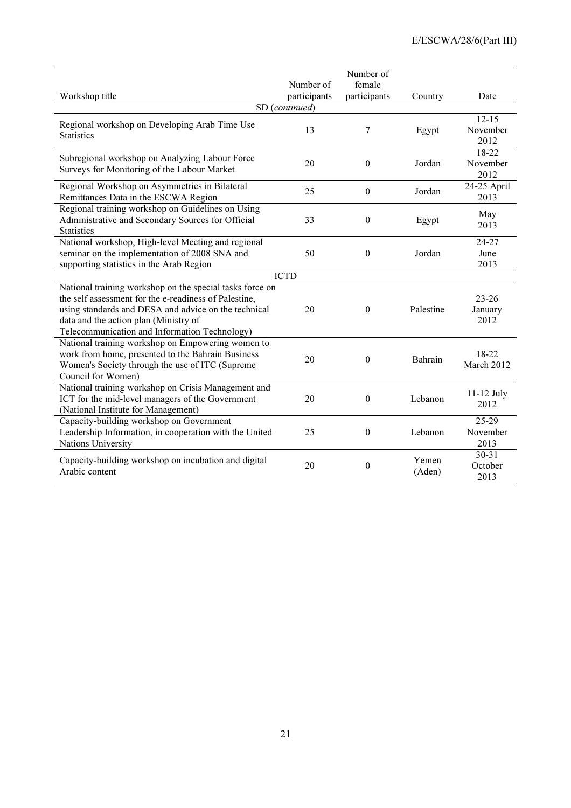| Workshop title                                                                                                                                                                                                                                                      | Number of<br>participants | Number of<br>female<br>participants | Country         | Date                          |
|---------------------------------------------------------------------------------------------------------------------------------------------------------------------------------------------------------------------------------------------------------------------|---------------------------|-------------------------------------|-----------------|-------------------------------|
|                                                                                                                                                                                                                                                                     | SD (continued)            |                                     |                 |                               |
| Regional workshop on Developing Arab Time Use<br><b>Statistics</b>                                                                                                                                                                                                  | 13                        | 7                                   | Egypt           | $12 - 15$<br>November<br>2012 |
| Subregional workshop on Analyzing Labour Force<br>Surveys for Monitoring of the Labour Market                                                                                                                                                                       | 20                        | $\mathbf{0}$                        | Jordan          | 18-22<br>November<br>2012     |
| Regional Workshop on Asymmetries in Bilateral<br>Remittances Data in the ESCWA Region                                                                                                                                                                               | 25                        | $\mathbf{0}$                        | Jordan          | 24-25 April<br>2013           |
| Regional training workshop on Guidelines on Using<br>Administrative and Secondary Sources for Official<br><b>Statistics</b>                                                                                                                                         | 33                        | $\mathbf{0}$                        | Egypt           | May<br>2013                   |
| National workshop, High-level Meeting and regional<br>seminar on the implementation of 2008 SNA and<br>supporting statistics in the Arab Region                                                                                                                     | 50                        | $\mathbf{0}$                        | Jordan          | $24 - 27$<br>June<br>2013     |
|                                                                                                                                                                                                                                                                     | <b>ICTD</b>               |                                     |                 |                               |
| National training workshop on the special tasks force on<br>the self assessment for the e-readiness of Palestine,<br>using standards and DESA and advice on the technical<br>data and the action plan (Ministry of<br>Telecommunication and Information Technology) | 20                        | $\boldsymbol{0}$                    | Palestine       | $23 - 26$<br>January<br>2012  |
| National training workshop on Empowering women to<br>work from home, presented to the Bahrain Business<br>Women's Society through the use of ITC (Supreme<br>Council for Women)                                                                                     | 20                        | $\boldsymbol{0}$                    | Bahrain         | 18-22<br>March 2012           |
| National training workshop on Crisis Management and<br>ICT for the mid-level managers of the Government<br>(National Institute for Management)                                                                                                                      | 20                        | $\mathbf{0}$                        | Lebanon         | $11-12$ July<br>2012          |
| Capacity-building workshop on Government<br>Leadership Information, in cooperation with the United<br>Nations University                                                                                                                                            | 25                        | $\boldsymbol{0}$                    | Lebanon         | 25-29<br>November<br>2013     |
| Capacity-building workshop on incubation and digital<br>Arabic content                                                                                                                                                                                              | 20                        | $\boldsymbol{0}$                    | Yemen<br>(Aden) | $30 - 31$<br>October<br>2013  |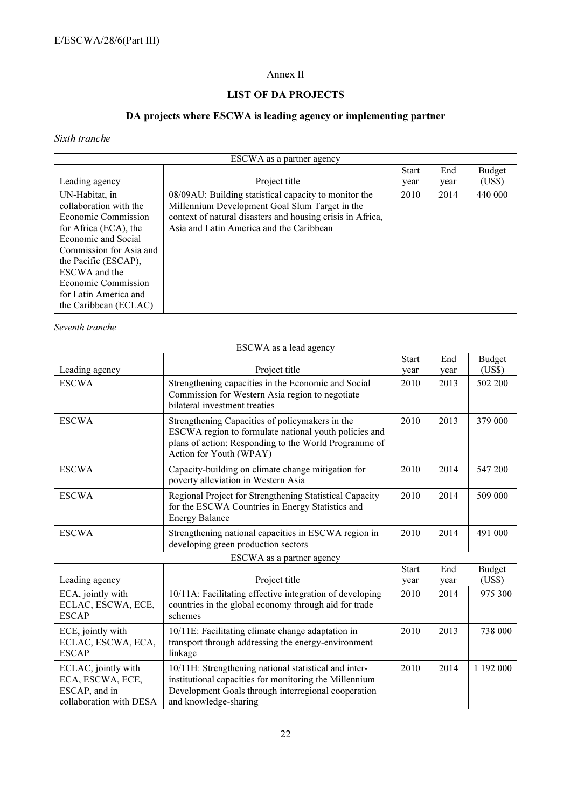# Annex II

# LIST OF DA PROJECTS

# DA projects where ESCWA is leading agency or implementing partner

## Sixth tranche

| ESCWA as a partner agency                                                                                                                                                                                                                                    |                                                                                                                                                                                                                   |       |      |               |  |  |
|--------------------------------------------------------------------------------------------------------------------------------------------------------------------------------------------------------------------------------------------------------------|-------------------------------------------------------------------------------------------------------------------------------------------------------------------------------------------------------------------|-------|------|---------------|--|--|
|                                                                                                                                                                                                                                                              |                                                                                                                                                                                                                   | Start | End  | <b>Budget</b> |  |  |
| Leading agency                                                                                                                                                                                                                                               | Project title                                                                                                                                                                                                     | year  | year | (US\$)        |  |  |
| UN-Habitat, in<br>collaboration with the<br>Economic Commission<br>for Africa (ECA), the<br>Economic and Social<br>Commission for Asia and<br>the Pacific (ESCAP),<br>ESCWA and the<br>Economic Commission<br>for Latin America and<br>the Caribbean (ECLAC) | 08/09AU: Building statistical capacity to monitor the<br>Millennium Development Goal Slum Target in the<br>context of natural disasters and housing crisis in Africa,<br>Asia and Latin America and the Caribbean | 2010  | 2014 | 440 000       |  |  |

Seventh tranche

| ESCWA as a lead agency                                                              |                                                                                                                                                                                                 |                      |             |                         |  |  |  |
|-------------------------------------------------------------------------------------|-------------------------------------------------------------------------------------------------------------------------------------------------------------------------------------------------|----------------------|-------------|-------------------------|--|--|--|
| Leading agency                                                                      | Project title                                                                                                                                                                                   | <b>Start</b><br>year | End<br>year | <b>Budget</b><br>(US\$) |  |  |  |
| <b>ESCWA</b>                                                                        | Strengthening capacities in the Economic and Social<br>Commission for Western Asia region to negotiate<br>bilateral investment treaties                                                         | 2010                 | 2013        | 502 200                 |  |  |  |
| <b>ESCWA</b>                                                                        | Strengthening Capacities of policymakers in the<br>ESCWA region to formulate national youth policies and<br>plans of action: Responding to the World Programme of<br>Action for Youth (WPAY)    | 2010                 | 2013        | 379 000                 |  |  |  |
| <b>ESCWA</b>                                                                        | Capacity-building on climate change mitigation for<br>poverty alleviation in Western Asia                                                                                                       | 2010                 | 2014        | 547 200                 |  |  |  |
| <b>ESCWA</b>                                                                        | Regional Project for Strengthening Statistical Capacity<br>for the ESCWA Countries in Energy Statistics and<br><b>Energy Balance</b>                                                            | 2010                 | 2014        | 509 000                 |  |  |  |
| <b>ESCWA</b>                                                                        | Strengthening national capacities in ESCWA region in<br>developing green production sectors                                                                                                     | 2010                 | 2014        | 491 000                 |  |  |  |
|                                                                                     | ESCWA as a partner agency                                                                                                                                                                       |                      |             |                         |  |  |  |
| Leading agency                                                                      | Project title                                                                                                                                                                                   | <b>Start</b><br>year | End<br>year | <b>Budget</b><br>(US\$) |  |  |  |
| ECA, jointly with<br>ECLAC, ESCWA, ECE,<br><b>ESCAP</b>                             | 10/11A: Facilitating effective integration of developing<br>countries in the global economy through aid for trade<br>schemes                                                                    | 2010                 | 2014        | 975 300                 |  |  |  |
| ECE, jointly with<br>ECLAC, ESCWA, ECA,<br><b>ESCAP</b>                             | 10/11E: Facilitating climate change adaptation in<br>transport through addressing the energy-environment<br>linkage                                                                             | 2010                 | 2013        | 738 000                 |  |  |  |
| ECLAC, jointly with<br>ECA, ESCWA, ECE,<br>ESCAP, and in<br>collaboration with DESA | 10/11H: Strengthening national statistical and inter-<br>institutional capacities for monitoring the Millennium<br>Development Goals through interregional cooperation<br>and knowledge-sharing | 2010                 | 2014        | 1 192 000               |  |  |  |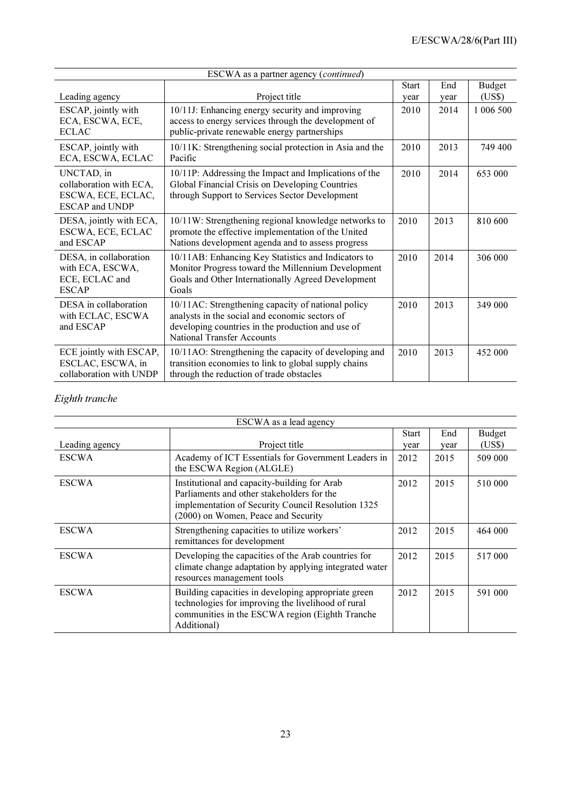| ESCWA as a partner agency (continued)                                                       |                                                                                                                                                                                                |              |      |               |
|---------------------------------------------------------------------------------------------|------------------------------------------------------------------------------------------------------------------------------------------------------------------------------------------------|--------------|------|---------------|
|                                                                                             |                                                                                                                                                                                                | <b>Start</b> | End  | <b>Budget</b> |
| Leading agency                                                                              | Project title                                                                                                                                                                                  | year         | year | (US\$)        |
| ESCAP, jointly with<br>ECA, ESCWA, ECE,<br><b>ECLAC</b>                                     | 10/11J: Enhancing energy security and improving<br>access to energy services through the development of<br>public-private renewable energy partnerships                                        | 2010         | 2014 | 1 006 500     |
| ESCAP, jointly with<br>ECA, ESCWA, ECLAC                                                    | 10/11K: Strengthening social protection in Asia and the<br>Pacific                                                                                                                             | 2010         | 2013 | 749 400       |
| UNCTAD, in<br>collaboration with ECA,<br>ESCWA, ECE, ECLAC,<br><b>ESCAP</b> and <b>UNDP</b> | 10/11P: Addressing the Impact and Implications of the<br>Global Financial Crisis on Developing Countries<br>through Support to Services Sector Development                                     | 2010         | 2014 | 653 000       |
| DESA, jointly with ECA,<br>ESCWA, ECE, ECLAC<br>and ESCAP                                   | 10/11W: Strengthening regional knowledge networks to<br>promote the effective implementation of the United<br>Nations development agenda and to assess progress                                | 2010         | 2013 | 810 600       |
| DESA, in collaboration<br>with ECA, ESCWA,<br>ECE, ECLAC and<br><b>ESCAP</b>                | 10/11AB: Enhancing Key Statistics and Indicators to<br>Monitor Progress toward the Millennium Development<br>Goals and Other Internationally Agreed Development<br>Goals                       | 2010         | 2014 | 306 000       |
| DESA in collaboration<br>with ECLAC, ESCWA<br>and ESCAP                                     | 10/11AC: Strengthening capacity of national policy<br>analysts in the social and economic sectors of<br>developing countries in the production and use of<br><b>National Transfer Accounts</b> | 2010         | 2013 | 349 000       |
| ECE jointly with ESCAP,<br>ESCLAC, ESCWA, in<br>collaboration with UNDP                     | 10/11AO: Strengthening the capacity of developing and<br>transition economies to link to global supply chains<br>through the reduction of trade obstacles                                      | 2010         | 2013 | 452 000       |

# Eighth tranche

| ESCWA as a lead agency |                                                                                                                                                                                         |                      |             |                         |
|------------------------|-----------------------------------------------------------------------------------------------------------------------------------------------------------------------------------------|----------------------|-------------|-------------------------|
| Leading agency         | Project title                                                                                                                                                                           | <b>Start</b><br>year | End<br>year | <b>Budget</b><br>(US\$) |
| <b>ESCWA</b>           | Academy of ICT Essentials for Government Leaders in<br>the ESCWA Region (ALGLE)                                                                                                         | 2012                 | 2015        | 509 000                 |
| <b>ESCWA</b>           | Institutional and capacity-building for Arab<br>Parliaments and other stakeholders for the<br>implementation of Security Council Resolution 1325<br>(2000) on Women, Peace and Security | 2012                 | 2015        | 510 000                 |
| <b>ESCWA</b>           | Strengthening capacities to utilize workers'<br>remittances for development                                                                                                             | 2012                 | 2015        | 464 000                 |
| <b>ESCWA</b>           | Developing the capacities of the Arab countries for<br>climate change adaptation by applying integrated water<br>resources management tools                                             | 2012                 | 2015        | 517 000                 |
| <b>ESCWA</b>           | Building capacities in developing appropriate green<br>technologies for improving the livelihood of rural<br>communities in the ESCWA region (Eighth Tranche<br>Additional)             | 2012                 | 2015        | 591 000                 |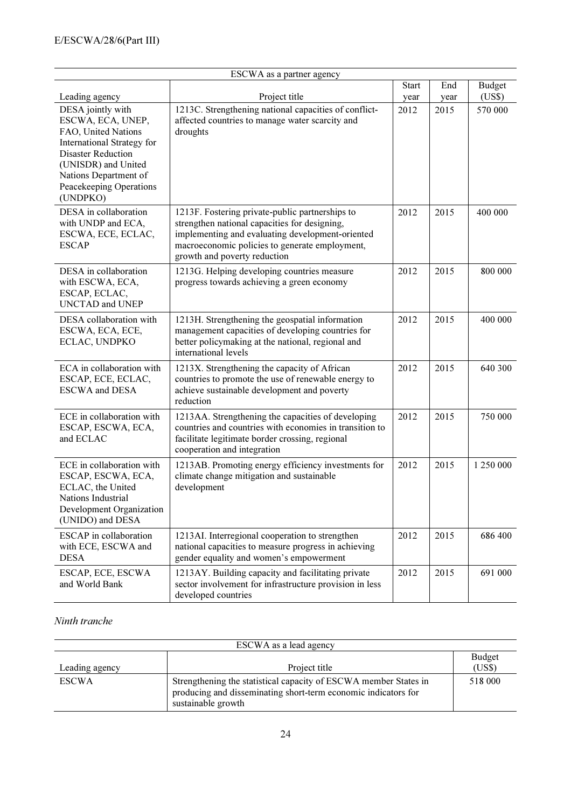|                                                                                                                                                                                                                 | ESCWA as a partner agency                                                                                                                                                                                                              |                      |             |                         |
|-----------------------------------------------------------------------------------------------------------------------------------------------------------------------------------------------------------------|----------------------------------------------------------------------------------------------------------------------------------------------------------------------------------------------------------------------------------------|----------------------|-------------|-------------------------|
| Leading agency                                                                                                                                                                                                  | Project title                                                                                                                                                                                                                          | <b>Start</b><br>year | End<br>year | <b>Budget</b><br>(US\$) |
| DESA jointly with<br>ESCWA, ECA, UNEP,<br>FAO, United Nations<br>International Strategy for<br><b>Disaster Reduction</b><br>(UNISDR) and United<br>Nations Department of<br>Peacekeeping Operations<br>(UNDPKO) | 1213C. Strengthening national capacities of conflict-<br>affected countries to manage water scarcity and<br>droughts                                                                                                                   | 2012                 | 2015        | 570 000                 |
| DESA in collaboration<br>with UNDP and ECA,<br>ESCWA, ECE, ECLAC,<br><b>ESCAP</b>                                                                                                                               | 1213F. Fostering private-public partnerships to<br>strengthen national capacities for designing,<br>implementing and evaluating development-oriented<br>macroeconomic policies to generate employment,<br>growth and poverty reduction | 2012                 | 2015        | 400 000                 |
| DESA in collaboration<br>with ESCWA, ECA,<br>ESCAP, ECLAC,<br><b>UNCTAD</b> and <b>UNEP</b>                                                                                                                     | 1213G. Helping developing countries measure<br>progress towards achieving a green economy                                                                                                                                              | 2012                 | 2015        | 800 000                 |
| DESA collaboration with<br>ESCWA, ECA, ECE,<br>ECLAC, UNDPKO                                                                                                                                                    | 1213H. Strengthening the geospatial information<br>management capacities of developing countries for<br>better policymaking at the national, regional and<br>international levels                                                      | 2012                 | 2015        | 400 000                 |
| ECA in collaboration with<br>ESCAP, ECE, ECLAC,<br><b>ESCWA</b> and DESA                                                                                                                                        | 1213X. Strengthening the capacity of African<br>countries to promote the use of renewable energy to<br>achieve sustainable development and poverty<br>reduction                                                                        | 2012                 | 2015        | 640 300                 |
| ECE in collaboration with<br>ESCAP, ESCWA, ECA,<br>and ECLAC                                                                                                                                                    | 1213AA. Strengthening the capacities of developing<br>countries and countries with economies in transition to<br>facilitate legitimate border crossing, regional<br>cooperation and integration                                        | 2012                 | 2015        | 750 000                 |
| ECE in collaboration with<br>ESCAP, ESCWA, ECA,<br>ECLAC, the United<br>Nations Industrial<br>Development Organization<br>(UNIDO) and DESA                                                                      | 1213AB. Promoting energy efficiency investments for<br>climate change mitigation and sustainable<br>development                                                                                                                        | 2012                 | 2015        | 1 250 000               |
| <b>ESCAP</b> in collaboration<br>with ECE, ESCWA and<br><b>DESA</b>                                                                                                                                             | 1213AI. Interregional cooperation to strengthen<br>national capacities to measure progress in achieving<br>gender equality and women's empowerment                                                                                     | 2012                 | 2015        | 686 400                 |
| ESCAP, ECE, ESCWA<br>and World Bank                                                                                                                                                                             | 1213AY. Building capacity and facilitating private<br>sector involvement for infrastructure provision in less<br>developed countries                                                                                                   | 2012                 | 2015        | 691 000                 |

## Ninth tranche

| ESCWA as a lead agency |                                                                                                                                                          |         |  |
|------------------------|----------------------------------------------------------------------------------------------------------------------------------------------------------|---------|--|
|                        |                                                                                                                                                          | Budget  |  |
| Leading agency         | Project title                                                                                                                                            | (US\$)  |  |
| <b>ESCWA</b>           | Strengthening the statistical capacity of ESCWA member States in<br>producing and disseminating short-term economic indicators for<br>sustainable growth | 518 000 |  |